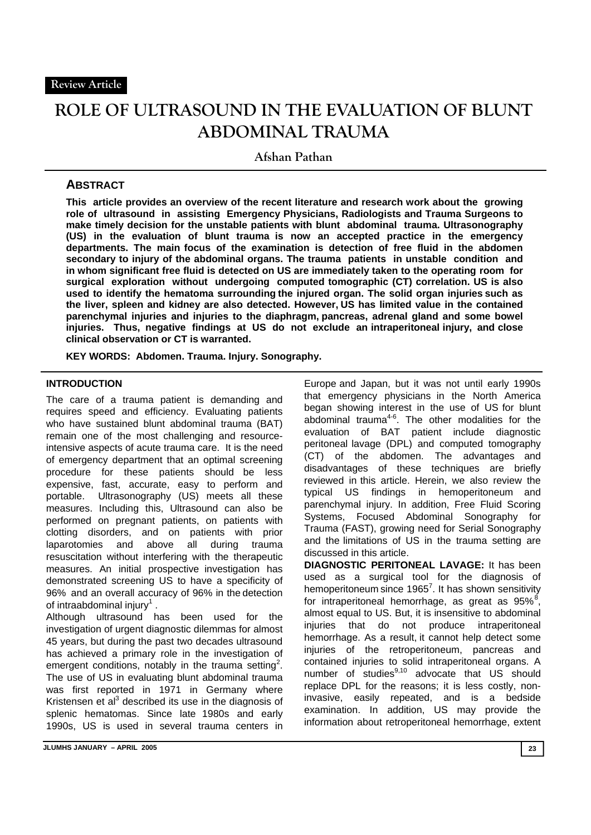# **ROLE OF ULTRASOUND IN THE EVALUATION OF BLUNT ABDOMINAL TRAUMA**

**Afshan Pathan** 

# **ABSTRACT**

**This article provides an overview of the recent literature and research work about the growing role of ultrasound in assisting Emergency Physicians, Radiologists and Trauma Surgeons to make timely decision for the unstable patients with blunt abdominal trauma. Ultrasonography (US) in the evaluation of blunt trauma is now an accepted practice in the emergency departments. The main focus of the examination is detection of free fluid in the abdomen secondary to injury of the abdominal organs. The trauma patients in unstable condition and in whom significant free fluid is detected on US are immediately taken to the operating room for surgical exploration without undergoing computed tomographic (CT) correlation. US is also used to identify the hematoma surrounding the injured organ. The solid organ injuries such as the liver, spleen and kidney are also detected. However, US has limited value in the contained parenchymal injuries and injuries to the diaphragm, pancreas, adrenal gland and some bowel injuries. Thus, negative findings at US do not exclude an intraperitoneal injury, and close clinical observation or CT is warranted.** 

**KEY WORDS: Abdomen. Trauma. Injury. Sonography.** 

#### **INTRODUCTION**

The care of a trauma patient is demanding and requires speed and efficiency. Evaluating patients who have sustained blunt abdominal trauma (BAT) remain one of the most challenging and resourceintensive aspects of acute trauma care. It is the need of emergency department that an optimal screening procedure for these patients should be less expensive, fast, accurate, easy to perform and portable. Ultrasonography (US) meets all these measures. Including this, Ultrasound can also be performed on pregnant patients, on patients with clotting disorders, and on patients with prior laparotomies and above all during trauma resuscitation without interfering with the therapeutic measures. An initial prospective investigation has demonstrated screening US to have a specificity of 96% and an overall accuracy of 96% in the detection of intraabdominal injury<sup>1</sup>.

Although ultrasound has been used for the investigation of urgent diagnostic dilemmas for almost 45 years, but during the past two decades ultrasound has achieved a primary role in the investigation of emergent conditions, notably in the trauma setting<sup>2</sup>. The use of US in evaluating blunt abdominal trauma was first reported in 1971 in Germany where Kristensen et al $3$  described its use in the diagnosis of splenic hematomas. Since late 1980s and early 1990s, US is used in several trauma centers in

Europe and Japan, but it was not until early 1990s that emergency physicians in the North America began showing interest in the use of US for blunt abdominal trauma4-6. The other modalities for the evaluation of BAT patient include diagnostic peritoneal lavage (DPL) and computed tomography (CT) of the abdomen. The advantages and disadvantages of these techniques are briefly reviewed in this article. Herein, we also review the typical US findings in hemoperitoneum and parenchymal injury. In addition, Free Fluid Scoring Systems, Focused Abdominal Sonography for Trauma (FAST), growing need for Serial Sonography and the limitations of US in the trauma setting are discussed in this article.

**DIAGNOSTIC PERITONEAL LAVAGE:** It has been used as a surgical tool for the diagnosis of hemoperitoneum since  $1965^7$ . It has shown sensitivity for intraperitoneal hemorrhage, as great as  $95\%$ <sup>8</sup>, almost equal to US. But, it is insensitive to abdominal injuries that do not produce intraperitoneal hemorrhage. As a result, it cannot help detect some injuries of the retroperitoneum, pancreas and contained injuries to solid intraperitoneal organs. A number of studies $9,10$  advocate that US should replace DPL for the reasons; it is less costly, noninvasive, easily repeated, and is a bedside examination. In addition, US may provide the information about retroperitoneal hemorrhage, extent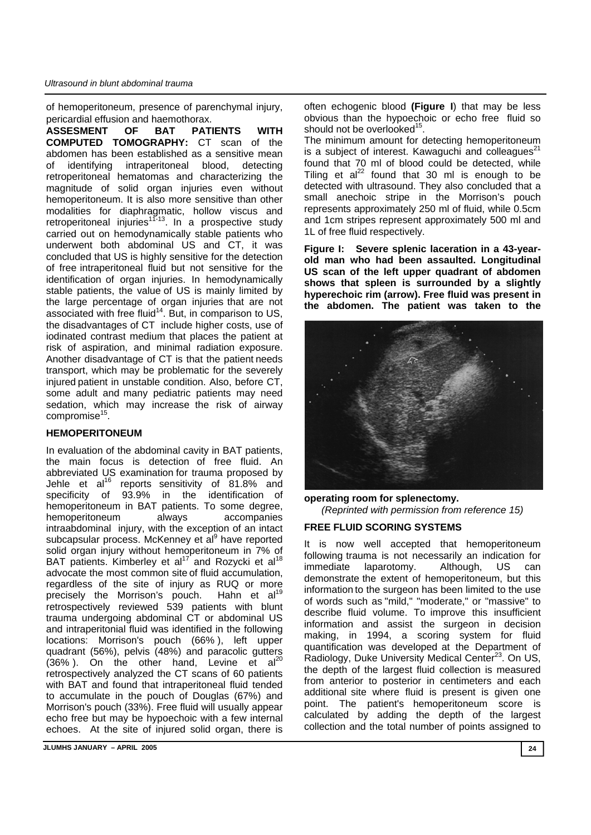#### *Ultrasound in blunt abdominal trauma*

of hemoperitoneum, presence of parenchymal injury, pericardial effusion and haemothorax.

**ASSESMENT OF BAT PATIENTS WITH COMPUTED TOMOGRAPHY:** CT scan of the abdomen has been established as a sensitive mean of identifying intraperitoneal blood, detecting retroperitoneal hematomas and characterizing the magnitude of solid organ injuries even without hemoperitoneum. It is also more sensitive than other modalities for diaphragmatic, hollow viscus and retroperitoneal injuries<sup> $11-13$ </sup>. In a prospective study carried out on hemodynamically stable patients who underwent both abdominal US and CT, it was concluded that US is highly sensitive for the detection of free intraperitoneal fluid but not sensitive for the identification of organ injuries. In hemodynamically stable patients, the value of US is mainly limited by the large percentage of organ injuries that are not associated with free fluid<sup>14</sup>. But, in comparison to US, the disadvantages of CT include higher costs, use of iodinated contrast medium that places the patient at risk of aspiration, and minimal radiation exposure. Another disadvantage of CT is that the patient needs transport, which may be problematic for the severely injured patient in unstable condition. Also, before CT, some adult and many pediatric patients may need sedation, which may increase the risk of airway compromise<sup>15</sup>.

## **HEMOPERITONEUM**

In evaluation of the abdominal cavity in BAT patients, the main focus is detection of free fluid. An abbreviated US examination for trauma proposed by Jehle et  $al^{16}$  reports sensitivity of 81.8% and specificity of 93.9% in the identification of hemoperitoneum in BAT patients. To some degree, hemoperitoneum always accompanies intraabdominal injury, with the exception of an intact subcapsular process. McKenney et al<sup>9</sup> have reported solid organ injury without hemoperitoneum in 7% of BAT patients. Kimberley et al<sup>17</sup> and Rozycki et al<sup>18</sup> advocate the most common site of fluid accumulation, regardless of the site of injury as RUQ or more precisely the Morrison's pouch. Hahn et al<sup>19</sup> retrospectively reviewed 539 patients with blunt trauma undergoing abdominal CT or abdominal US and intraperitonial fluid was identified in the following locations: Morrison's pouch (66% ), left upper quadrant (56%), pelvis (48%) and paracolic gutters  $(36\%)$ . On the other hand, Levine et al<sup>2</sup> retrospectively analyzed the CT scans of 60 patients with BAT and found that intraperitoneal fluid tended to accumulate in the pouch of Douglas (67%) and Morrison's pouch (33%). Free fluid will usually appear echo free but may be hypoechoic with a few internal echoes. At the site of injured solid organ, there is

**JLUMHS JANUARY – APRIL 2005 24** 

often echogenic blood **(Figure I**) that may be less obvious than the hypoechoic or echo free fluid so should not be overlooked $^{15}$ .

The minimum amount for detecting hemoperitoneum is a subject of interest. Kawaguchi and colleagues $^{21}$ found that 70 ml of blood could be detected, while Tiling et  $al^{22}$  found that 30 ml is enough to be detected with ultrasound. They also concluded that a small anechoic stripe in the Morrison's pouch represents approximately 250 ml of fluid, while 0.5cm and 1cm stripes represent approximately 500 ml and 1L of free fluid respectively.

**Figure I: Severe splenic laceration in a 43-yearold man who had been assaulted. Longitudinal US scan of the left upper quadrant of abdomen shows that spleen is surrounded by a slightly hyperechoic rim (arrow). Free fluid was present in the abdomen. The patient was taken to the** 



**operating room for splenectomy.**  *(Reprinted with permission from reference 15)*

## **FREE FLUID SCORING SYSTEMS**

It is now well accepted that hemoperitoneum following trauma is not necessarily an indication for immediate laparotomy. Although, US can demonstrate the extent of hemoperitoneum, but this information to the surgeon has been limited to the use of words such as "mild," "moderate," or "massive" to describe fluid volume. To improve this insufficient information and assist the surgeon in decision making, in 1994, a scoring system for fluid quantification was developed at the Department of Radiology, Duke University Medical Center<sup>23</sup>. On US, the depth of the largest fluid collection is measured from anterior to posterior in centimeters and each additional site where fluid is present is given one point. The patient's hemoperitoneum score is calculated by adding the depth of the largest collection and the total number of points assigned to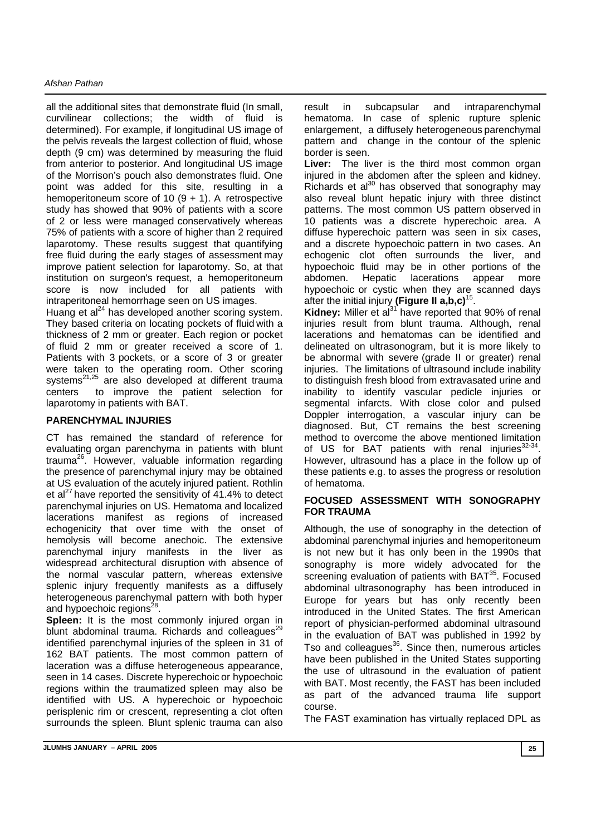all the additional sites that demonstrate fluid (In small, curvilinear collections; the width of fluid is determined). For example, if longitudinal US image of the pelvis reveals the largest collection of fluid, whose depth (9 cm) was determined by measuring the fluid from anterior to posterior. And longitudinal US image of the Morrison's pouch also demonstrates fluid. One point was added for this site, resulting in a hemoperitoneum score of 10  $(9 + 1)$ . A retrospective study has showed that 90% of patients with a score of 2 or less were managed conservatively whereas 75% of patients with a score of higher than 2 required laparotomy. These results suggest that quantifying free fluid during the early stages of assessment may improve patient selection for laparotomy. So, at that institution on surgeon's request, a hemoperitoneum score is now included for all patients with intraperitoneal hemorrhage seen on US images.

Huang et  $al<sup>24</sup>$  has developed another scoring system. They based criteria on locating pockets of fluid with a thickness of 2 mm or greater. Each region or pocket of fluid 2 mm or greater received a score of 1. Patients with 3 pockets, or a score of 3 or greater were taken to the operating room. Other scoring systems<sup>21,25</sup> are also developed at different trauma centers to improve the patient selection for laparotomy in patients with BAT.

# **PARENCHYMAL INJURIES**

CT has remained the standard of reference for evaluating organ parenchyma in patients with blunt trauma26. However, valuable information regarding the presence of parenchymal injury may be obtained at US evaluation of the acutely injured patient. Rothlin et al $^{27}$  have reported the sensitivity of 41.4% to detect parenchymal injuries on US. Hematoma and localized lacerations manifest as regions of increased echogenicity that over time with the onset of hemolysis will become anechoic. The extensive parenchymal injury manifests in the liver as widespread architectural disruption with absence of the normal vascular pattern, whereas extensive splenic injury frequently manifests as a diffusely heterogeneous parenchymal pattern with both hyper and hypoechoic regions<sup>28</sup>.

**Spleen:** It is the most commonly injured organ in blunt abdominal trauma. Richards and colleagues<sup>29</sup> identified parenchymal injuries of the spleen in 31 of 162 BAT patients. The most common pattern of laceration was a diffuse heterogeneous appearance, seen in 14 cases. Discrete hyperechoic or hypoechoic regions within the traumatized spleen may also be identified with US. A hyperechoic or hypoechoic perisplenic rim or crescent, representing a clot often surrounds the spleen. Blunt splenic trauma can also

result in subcapsular and intraparenchymal hematoma. In case of splenic rupture splenic enlargement, a diffusely heterogeneous parenchymal pattern and change in the contour of the splenic border is seen.

**Liver:** The liver is the third most common organ injured in the abdomen after the spleen and kidney. Richards et  $a^{30}$  has observed that sonography may also reveal blunt hepatic injury with three distinct patterns. The most common US pattern observed in 10 patients was a discrete hyperechoic area. A diffuse hyperechoic pattern was seen in six cases, and a discrete hypoechoic pattern in two cases. An echogenic clot often surrounds the liver, and hypoechoic fluid may be in other portions of the abdomen. Hepatic lacerations appear more hypoechoic or cystic when they are scanned days after the initial injury **(Figure II a,b,c)**15.

Kidney: Miller et al<sup>31</sup> have reported that 90% of renal injuries result from blunt trauma. Although, renal lacerations and hematomas can be identified and delineated on ultrasonogram, but it is more likely to be abnormal with severe (grade II or greater) renal injuries. The limitations of ultrasound include inability to distinguish fresh blood from extravasated urine and inability to identify vascular pedicle injuries or segmental infarcts. With close color and pulsed Doppler interrogation, a vascular injury can be diagnosed. But, CT remains the best screening method to overcome the above mentioned limitation of US for BAT patients with renal injuries $32-34$ . However, ultrasound has a place in the follow up of these patients e.g. to asses the progress or resolution of hematoma.

## **FOCUSED ASSESSMENT WITH SONOGRAPHY FOR TRAUMA**

Although, the use of sonography in the detection of abdominal parenchymal injuries and hemoperitoneum is not new but it has only been in the 1990s that sonography is more widely advocated for the screening evaluation of patients with BAT<sup>35</sup>. Focused abdominal ultrasonography has been introduced in Europe for years but has only recently been introduced in the United States. The first American report of physician-performed abdominal ultrasound in the evaluation of BAT was published in 1992 by Tso and colleagues $36$ . Since then, numerous articles have been published in the United States supporting the use of ultrasound in the evaluation of patient with BAT. Most recently, the FAST has been included as part of the advanced trauma life support course.

The FAST examination has virtually replaced DPL as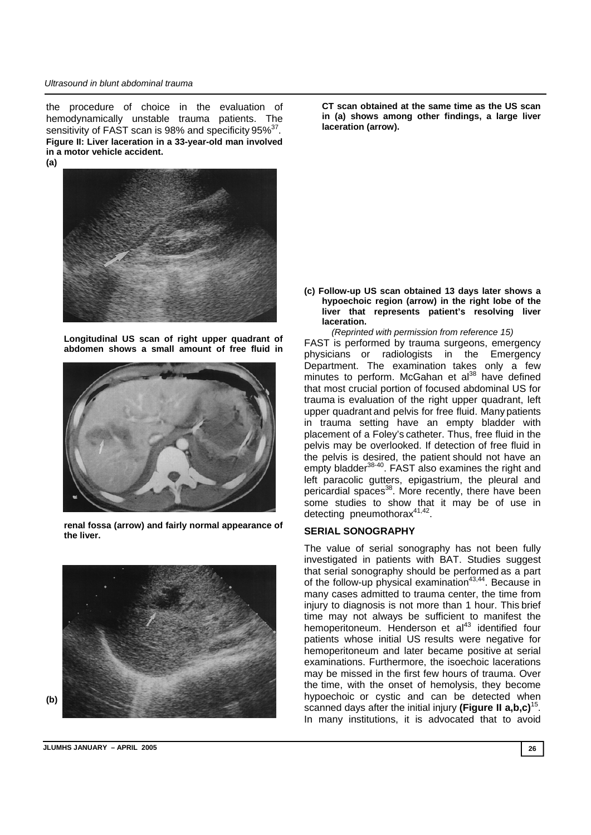#### *Ultrasound in blunt abdominal trauma*

the procedure of choice in the evaluation of hemodynamically unstable trauma patients. The sensitivity of FAST scan is 98% and specificity 95%<sup>37</sup>. **Figure II: Liver laceration in a 33-year-old man involved in a motor vehicle accident. (a)** 



**Longitudinal US scan of right upper quadrant of abdomen shows a small amount of free fluid in** 



**renal fossa (arrow) and fairly normal appearance of the liver.** 



**CT scan obtained at the same time as the US scan in (a) shows among other findings, a large liver laceration (arrow).** 

**(c) Follow-up US scan obtained 13 days later shows a hypoechoic region (arrow) in the right lobe of the liver that represents patient's resolving liver laceration.** 

*(Reprinted with permission from reference 15)* FAST is performed by trauma surgeons, emergency physicians or radiologists in the Emergency Department. The examination takes only a few minutes to perform. McGahan et al<sup>38</sup> have defined that most crucial portion of focused abdominal US for trauma is evaluation of the right upper quadrant, left upper quadrant and pelvis for free fluid. Many patients in trauma setting have an empty bladder with placement of a Foley's catheter. Thus, free fluid in the pelvis may be overlooked. If detection of free fluid in the pelvis is desired, the patient should not have an empty bladder<sup>38-40</sup>. FAST also examines the right and left paracolic gutters, epigastrium, the pleural and pericardial spaces<sup>38</sup>. More recently, there have been some studies to show that it may be of use in detecting pneumothora $x^{41,42}$ .

#### **SERIAL SONOGRAPHY**

The value of serial sonography has not been fully investigated in patients with BAT. Studies suggest that serial sonography should be performed as a part of the follow-up physical examination  $43,44$ . Because in many cases admitted to trauma center, the time from injury to diagnosis is not more than 1 hour. This brief time may not always be sufficient to manifest the hemoperitoneum. Henderson et al<sup>43</sup> identified four patients whose initial US results were negative for hemoperitoneum and later became positive at serial examinations. Furthermore, the isoechoic lacerations may be missed in the first few hours of trauma. Over the time, with the onset of hemolysis, they become hypoechoic or cystic and can be detected when scanned days after the initial injury **(Figure II a,b,c)**15. In many institutions, it is advocated that to avoid

**JLUMHS JANUARY – APRIL 2005 26**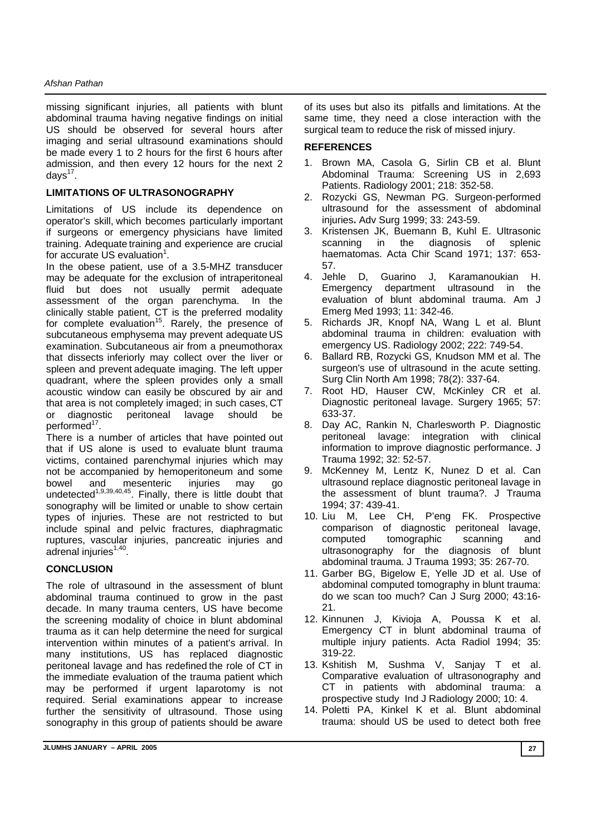#### *Afshan Pathan*

missing significant injuries, all patients with blunt abdominal trauma having negative findings on initial US should be observed for several hours after imaging and serial ultrasound examinations should be made every 1 to 2 hours for the first 6 hours after admission, and then every 12 hours for the next 2 days $17$ .

# **LIMITATIONS OF ULTRASONOGRAPHY**

Limitations of US include its dependence on operator's skill, which becomes particularly important if surgeons or emergency physicians have limited training. Adequate training and experience are crucial for accurate US evaluation $1$ .

In the obese patient, use of a 3.5-MHZ transducer may be adequate for the exclusion of intraperitoneal fluid but does not usually permit adequate assessment of the organ parenchyma. In the clinically stable patient, CT is the preferred modality for complete evaluation<sup>15</sup>. Rarely, the presence of subcutaneous emphysema may prevent adequate US examination. Subcutaneous air from a pneumothorax that dissects inferiorly may collect over the liver or spleen and prevent adequate imaging. The left upper quadrant, where the spleen provides only a small acoustic window can easily be obscured by air and that area is not completely imaged; in such cases, CT or diagnostic peritoneal lavage should be performed<sup>17</sup>.

There is a number of articles that have pointed out that if US alone is used to evaluate blunt trauma victims, contained parenchymal injuries which may not be accompanied by hemoperitoneum and some bowel and mesenteric injuries may go undetected<sup>1,9,39,40,45</sup>. Finally, there is little doubt that sonography will be limited or unable to show certain types of injuries. These are not restricted to but include spinal and pelvic fractures, diaphragmatic ruptures, vascular injuries, pancreatic injuries and adrenal injuries<sup>1,40</sup>.

## **CONCLUSION**

The role of ultrasound in the assessment of blunt abdominal trauma continued to grow in the past decade. In many trauma centers, US have become the screening modality of choice in blunt abdominal trauma as it can help determine the need for surgical intervention within minutes of a patient's arrival. In many institutions, US has replaced diagnostic peritoneal lavage and has redefined the role of CT in the immediate evaluation of the trauma patient which may be performed if urgent laparotomy is not required. Serial examinations appear to increase further the sensitivity of ultrasound. Those using sonography in this group of patients should be aware

of its uses but also its pitfalls and limitations. At the same time, they need a close interaction with the surgical team to reduce the risk of missed injury.

## **REFERENCES**

- 1. Brown MA, Casola G, Sirlin CB et al. Blunt Abdominal Trauma: Screening US in 2,693 Patients. Radiology 2001; 218: 352-58.
- 2. Rozycki GS, Newman PG. Surgeon-performed ultrasound for the assessment of abdominal injuries**.** Adv Surg 1999; 33: 243-59.
- 3. Kristensen JK, Buemann B, Kuhl E. Ultrasonic scanning in the diagnosis of splenic haematomas. Acta Chir Scand 1971; 137: 653- 57.
- 4. Jehle D, Guarino J, Karamanoukian H. Emergency department ultrasound in the evaluation of blunt abdominal trauma. Am J Emerg Med 1993; 11: 342-46.
- 5. Richards JR, Knopf NA, Wang L et al. Blunt abdominal trauma in children: evaluation with emergency US. Radiology 2002; 222: 749-54.
- 6. Ballard RB, Rozycki GS, Knudson MM et al. The surgeon's use of ultrasound in the acute setting. Surg Clin North Am 1998; 78(2): 337-64.
- 7. Root HD, Hauser CW, McKinley CR et al. Diagnostic peritoneal lavage. Surgery 1965; 57: 633-37.
- 8. Day AC, Rankin N, Charlesworth P. Diagnostic peritoneal lavage: integration with clinical information to improve diagnostic performance. J Trauma 1992; 32: 52-57.
- 9. McKenney M, Lentz K, Nunez D et al. Can ultrasound replace diagnostic peritoneal lavage in the assessment of blunt trauma?. J Trauma 1994; 37: 439-41.
- 10. Liu M, Lee CH, P'eng FK. Prospective comparison of diagnostic peritoneal lavage, computed tomographic scanning and ultrasonography for the diagnosis of blunt abdominal trauma. J Trauma 1993; 35: 267-70.
- 11. Garber BG, Bigelow E, Yelle JD et al. Use of abdominal computed tomography in blunt trauma: do we scan too much? Can J Surg 2000; 43:16- 21.
- 12. Kinnunen J, Kivioja A, Poussa K et al. Emergency CT in blunt abdominal trauma of multiple injury patients. Acta Radiol 1994; 35: 319-22.
- 13. Kshitish M, Sushma V, Sanjay T et al. Comparative evaluation of ultrasonography and CT in patients with abdominal trauma: a prospective study Ind J Radiology 2000; 10: 4.
- 14. Poletti PA, Kinkel K et al. Blunt abdominal trauma: should US be used to detect both free